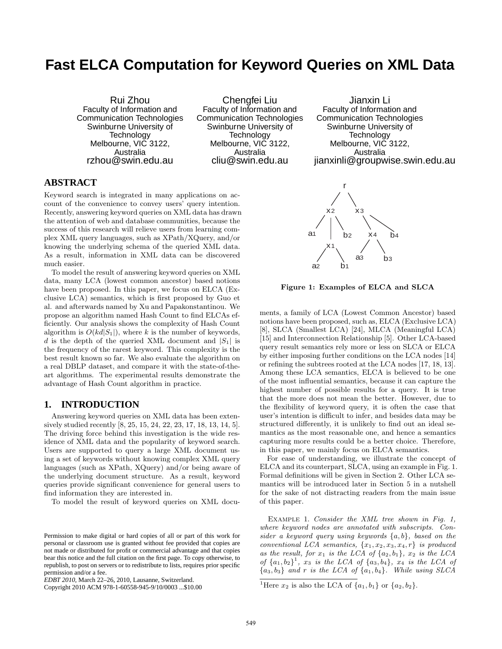# **Fast ELCA Computation for Keyword Queries on XML Data**

Rui Zhou Faculty of Information and Communication Technologies Swinburne University of Technology Melbourne, VIC 3122, Australia rzhou@swin.edu.au

Chengfei Liu Faculty of Information and Communication Technologies Swinburne University of Technology Melbourne, VIC 3122, Australia cliu@swin.edu.au

Jianxin Li Faculty of Information and Communication Technologies Swinburne University of Technology Melbourne, VIC 3122, Australia jianxinli@groupwise.swin.edu.au

# **ABSTRACT**

Keyword search is integrated in many applications on account of the convenience to convey users' query intention. Recently, answering keyword queries on XML data has drawn the attention of web and database communities, because the success of this research will relieve users from learning complex XML query languages, such as XPath/XQuery, and/or knowing the underlying schema of the queried XML data. As a result, information in XML data can be discovered much easier.

To model the result of answering keyword queries on XML data, many LCA (lowest common ancestor) based notions have been proposed. In this paper, we focus on ELCA (Exclusive LCA) semantics, which is first proposed by Guo et al. and afterwards named by Xu and Papakonstantinou. We propose an algorithm named Hash Count to find ELCAs efficiently. Our analysis shows the complexity of Hash Count algorithm is  $O(kd|S_1|)$ , where k is the number of keywords, d is the depth of the queried XML document and  $|S_1|$  is the frequency of the rarest keyword. This complexity is the best result known so far. We also evaluate the algorithm on a real DBLP dataset, and compare it with the state-of-theart algorithms. The experimental results demonstrate the advantage of Hash Count algorithm in practice.

# **1. INTRODUCTION**

Answering keyword queries on XML data has been extensively studied recently [8, 25, 15, 24, 22, 23, 17, 18, 13, 14, 5]. The driving force behind this investigation is the wide residence of XML data and the popularity of keyword search. Users are supported to query a large XML document using a set of keywords without knowing complex XML query languages (such as XPath, XQuery) and/or being aware of the underlying document structure. As a result, keyword queries provide significant convenience for general users to find information they are interested in.

To model the result of keyword queries on XML docu-

Copyright 2010 ACM 978-1-60558-945-9/10/0003 ...\$10.00

Figure 1: Examples of ELCA and SLCA

x 2 x 3

x 4

 $\overline{b}$ <sup>4</sup>

a <sup>3</sup> b <sup>3</sup>

r

b 2

a 1

x 1

a 2 b 1

ments, a family of LCA (Lowest Common Ancestor) based notions have been proposed, such as, ELCA (Exclusive LCA) [8], SLCA (Smallest LCA) [24], MLCA (Meaningful LCA) [15] and Interconnection Relationship [5]. Other LCA-based query result semantics rely more or less on SLCA or ELCA by either imposing further conditions on the LCA nodes [14] or refining the subtrees rooted at the LCA nodes [17, 18, 13]. Among these LCA semantics, ELCA is believed to be one of the most influential semantics, because it can capture the highest number of possible results for a query. It is true that the more does not mean the better. However, due to the flexibility of keyword query, it is often the case that user's intention is difficult to infer, and besides data may be structured differently, it is unlikely to find out an ideal semantics as the most reasonable one, and hence a semantics capturing more results could be a better choice. Therefore, in this paper, we mainly focus on ELCA semantics.

For ease of understanding, we illustrate the concept of ELCA and its counterpart, SLCA, using an example in Fig. 1. Formal definitions will be given in Section 2. Other LCA semantics will be introduced later in Section 5 in a nutshell for the sake of not distracting readers from the main issue of this paper.

Example 1. *Consider the XML tree shown in Fig. 1, where keyword nodes are annotated with subscripts. Consider a keyword query using keywords* {a, b}*, based on the conventional LCA semantics,*  $\{x_1, x_2, x_3, x_4, r\}$  *is produced* as the result, for  $x_1$  *is the LCA of*  $\{a_2, b_1\}$ ,  $x_2$  *is the LCA of*  $\{a_1, b_2\}^1$ ,  $x_3$  *is the LCA of*  $\{a_3, b_4\}$ ,  $x_4$  *is the LCA of*  ${a_3, b_3}$  *and* r *is the LCA of*  ${a_1, b_4}$ *. While using SLCA* 

Permission to make digital or hard copies of all or part of this work for personal or classroom use is granted without fee provided that copies are not made or distributed for profit or commercial advantage and that copies bear this notice and the full citation on the first page. To copy otherwise, to republish, to post on servers or to redistribute to lists, requires prior specific permission and/or a fee.

*EDBT 2010*, March 22–26, 2010, Lausanne, Switzerland.

<sup>&</sup>lt;sup>1</sup>Here  $x_2$  is also the LCA of  $\{a_1, b_1\}$  or  $\{a_2, b_2\}$ .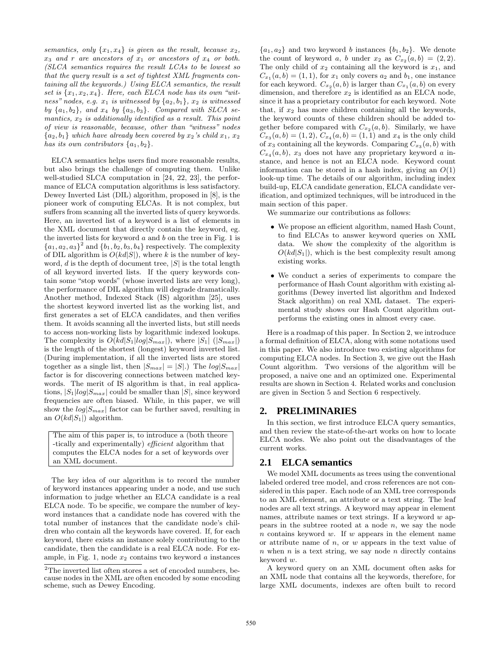*semantics, only*  $\{x_1, x_4\}$  *is given as the result, because*  $x_2$ *,*  $x_3$  *and* r *are ancestors of*  $x_1$  *or ancestors of*  $x_4$  *or both. (SLCA semantics requires the result LCAs to be lowest so that the query result is a set of tightest XML fragments containing all the keywords.) Using ELCA semantics, the result* set is  $\{x_1, x_2, x_4\}$ . Here, each ELCA node has its own "wit*ness" nodes, e.g.*  $x_1$  *is witnessed by*  $\{a_2, b_1\}$ *,*  $x_2$  *is witnessed* by  $\{a_1, b_2\}$ , and  $x_4$  by  $\{a_3, b_3\}$ . Compared with SLCA se*mantics,* x<sup>2</sup> *is additionally identified as a result. This point of view is reasonable, because, other than "witness" nodes*  ${a_2, b_1}$  *which have already been covered by*  $x_2$ 's *child*  $x_1, x_2$ *has its own contributors*  $\{a_1, b_2\}$ .

ELCA semantics helps users find more reasonable results, but also brings the challenge of computing them. Unlike well-studied SLCA computation in [24, 22, 23], the performance of ELCA computation algorithms is less satisfactory. Dewey Inverted List (DIL) algorithm, proposed in [8], is the pioneer work of computing ELCAs. It is not complex, but suffers from scanning all the inverted lists of query keywords. Here, an inverted list of a keyword is a list of elements in the XML document that directly contain the keyword, eg. the inverted lists for keyword  $a$  and  $b$  on the tree in Fig. 1 is  ${a_1, a_2, a_3}^2$  and  ${b_1, b_2, b_3, b_4}$  respectively. The complexity of DIL algorithm is  $O(kd|S|)$ , where k is the number of keyword,  $d$  is the depth of document tree,  $|S|$  is the total length of all keyword inverted lists. If the query keywords contain some "stop words" (whose inverted lists are very long), the performance of DIL algorithm will degrade dramatically. Another method, Indexed Stack (IS) algorithm [25], uses the shortest keyword inverted list as the working list, and first generates a set of ELCA candidates, and then verifies them. It avoids scanning all the inverted lists, but still needs to access non-working lists by logarithmic indexed lookups. The complexity is  $O(kd|S_1|log|S_{max}|)$ , where  $|S_1|$  ( $|S_{max}|$ ) is the length of the shortest (longest) keyword inverted list. (During implementation, if all the inverted lists are stored together as a single list, then  $|S_{max}| = |S|$ .) The  $log|S_{max}|$ factor is for discovering connections between matched keywords. The merit of IS algorithm is that, in real applications,  $|S_1|log|S_{max}|$  could be smaller than  $|S|$ , since keyword frequencies are often biased. While, in this paper, we will show the  $log|S_{max}|$  factor can be further saved, resulting in an  $O(kd|S_1|)$  algorithm.

The aim of this paper is, to introduce a (both theore -tically and experimentally) *efficient* algorithm that computes the ELCA nodes for a set of keywords over an XML document.

The key idea of our algorithm is to record the number of keyword instances appearing under a node, and use such information to judge whether an ELCA candidate is a real ELCA node. To be specific, we compare the number of keyword instances that a candidate node has covered with the total number of instances that the candidate node's children who contain all the keywords have covered. If, for each keyword, there exists an instance solely contributing to the candidate, then the candidate is a real ELCA node. For example, in Fig. 1, node  $x_2$  contains two keyword a instances

 ${a_1, a_2}$  and two keyword b instances  ${b_1, b_2}$ . We denote the count of keyword a, b under  $x_2$  as  $C_{x_2}(a, b) = (2, 2)$ . The only child of  $x_2$  containing all the keyword is  $x_1$ , and  $C_{x_1}(a, b) = (1, 1)$ , for  $x_1$  only covers  $a_2$  and  $b_1$ , one instance for each keyword.  $C_{x_2}(a, b)$  is larger than  $C_{x_1}(a, b)$  on every dimension, and therefore  $x_2$  is identified as an ELCA node, since it has a proprietary contributor for each keyword. Note that, if  $x_2$  has more children containing all the keywords, the keyword counts of these children should be added together before compared with  $C_{x_2}(a, b)$ . Similarly, we have  $C_{x_3}(a, b) = (1, 2), C_{x_4}(a, b) = (1, 1)$  and  $x_4$  is the only child of  $x_3$  containing all the keywords. Comparing  $C_{x_3}(a, b)$  with  $C_{x_4}(a, b)$ ,  $x_3$  does not have any proprietary keyword a instance, and hence is not an ELCA node. Keyword count information can be stored in a hash index, giving an  $O(1)$ look-up time. The details of our algorithm, including index build-up, ELCA candidate generation, ELCA candidate verification, and optimized techniques, will be introduced in the main section of this paper.

We summarize our contributions as follows:

- We propose an efficient algorithm, named Hash Count, to find ELCAs to answer keyword queries on XML data. We show the complexity of the algorithm is  $O(kd|S_1|)$ , which is the best complexity result among existing works.
- We conduct a series of experiments to compare the performance of Hash Count algorithm with existing algorithms (Dewey inverted list algorithm and Indexed Stack algorithm) on real XML dataset. The experimental study shows our Hash Count algorithm outperforms the existing ones in almost every case.

Here is a roadmap of this paper. In Section 2, we introduce a formal definition of ELCA, along with some notations used in this paper. We also introduce two existing algorithms for computing ELCA nodes. In Section 3, we give out the Hash Count algorithm. Two versions of the algorithm will be proposed, a naive one and an optimized one. Experimental results are shown in Section 4. Related works and conclusion are given in Section 5 and Section 6 respectively.

## **2. PRELIMINARIES**

In this section, we first introduce ELCA query semantics, and then review the state-of-the-art works on how to locate ELCA nodes. We also point out the disadvantages of the current works.

#### **2.1 ELCA semantics**

We model XML documents as trees using the conventional labeled ordered tree model, and cross references are not considered in this paper. Each node of an XML tree corresponds to an XML element, an attribute or a text string. The leaf nodes are all text strings. A keyword may appear in element names, attribute names or text strings. If a keyword  $w$  appears in the subtree rooted at a node  $n$ , we say the node  $n$  contains keyword  $w$ . If  $w$  appears in the element name or attribute name of  $n$ , or  $w$  appears in the text value of  $n$  when  $n$  is a text string, we say node  $n$  directly contains keyword w.

A keyword query on an XML document often asks for an XML node that contains all the keywords, therefore, for large XML documents, indexes are often built to record

 $2$ The inverted list often stores a set of encoded numbers, because nodes in the XML are often encoded by some encoding scheme, such as Dewey Encoding.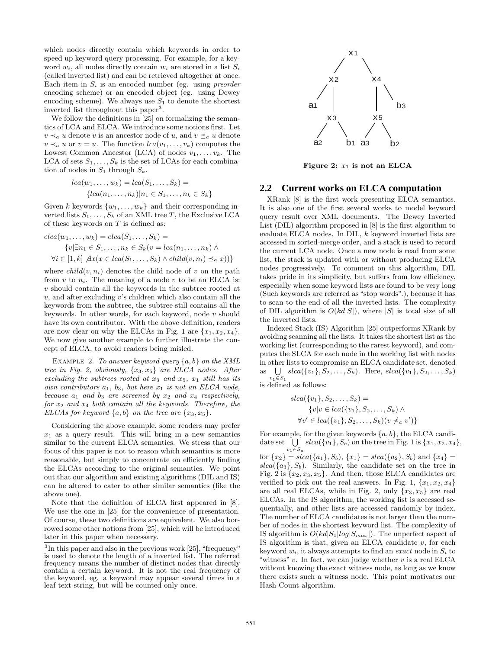which nodes directly contain which keywords in order to speed up keyword query processing. For example, for a keyword  $w_i$ , all nodes directly contain  $w_i$  are stored in a list  $S_i$ (called inverted list) and can be retrieved altogether at once. Each item in  $S_i$  is an encoded number (eg. using *preorder* encoding scheme) or an encoded object (eg. using Dewey encoding scheme). We always use  $S_1$  to denote the shortest inverted list throughout this paper<sup>3</sup>.

We follow the definitions in [25] on formalizing the semantics of LCA and ELCA. We introduce some notions first. Let  $v \prec_a u$  denote v is an ancestor node of u, and  $v \preceq_a u$  denote  $v \prec_a u$  or  $v = u$ . The function  $lca(v_1, \ldots, v_k)$  computes the Lowest Common Ancestor (LCA) of nodes  $v_1, \ldots, v_k$ . The LCA of sets  $S_1, \ldots, S_k$  is the set of LCAs for each combination of nodes in  $S_1$  through  $S_k$ .

$$
lca(w_1, \ldots, w_k) = lca(S_1, \ldots, S_k) =
$$
  

$$
{lca(n_1, \ldots, n_k)|n_1 \in S_1, \ldots, n_k \in S_k}
$$

Given k keywords  $\{w_1, \ldots, w_k\}$  and their corresponding inverted lists  $S_1, \ldots, S_k$  of an XML tree T, the Exclusive LCA of these keywords on  $T$  is defined as:

$$
elca(w_1, ..., w_k) = elca(S_1, ..., S_k) =
$$
  
\n
$$
\{v | \exists n_1 \in S_1, ..., n_k \in S_k (v = lca(n_1, ..., n_k) \land
$$
  
\n
$$
\forall i \in [1, k] \ \mathcal{Z}x(x \in lca(S_1, ..., S_k) \land child(v, n_i) \leq_a x)\}
$$

where  $child(v, n_i)$  denotes the child node of v on the path from  $v$  to  $n_i$ . The meaning of a node  $v$  to be an ELCA is:  $v$  should contain all the keywords in the subtree rooted at  $v$ , and after excluding  $v$ 's children which also contain all the keywords from the subtree, the subtree still contains all the keywords. In other words, for each keyword, node  $v$  should have its own contributor. With the above definition, readers are now clear on why the ELCAs in Fig. 1 are  $\{x_1, x_2, x_4\}$ . We now give another example to further illustrate the concept of ELCA, to avoid readers being misled.

Example 2. *To answer keyword query* {a, b} *on the XML tree in Fig. 2, obviously,* {x3, x5} *are ELCA nodes. After excluding the subtrees rooted at* x<sup>3</sup> *and* x5*,* x<sup>1</sup> *still has its own contributors* a1*,* b3*, but here* x<sup>1</sup> *is not an ELCA node, because*  $a_1$  *and*  $b_3$  *are screened by*  $x_2$  *and*  $x_4$  *respectively, for* x<sup>2</sup> *and* x<sup>4</sup> *both contain all the keywords. Therefore, the ELCAs for keyword*  $\{a, b\}$  *on the tree are*  $\{x_3, x_5\}$ *.* 

Considering the above example, some readers may prefer  $x_1$  as a query result. This will bring in a new semantics similar to the current ELCA semantics. We stress that our focus of this paper is not to reason which semantics is more reasonable, but simply to concentrate on efficiently finding the ELCAs according to the original semantics. We point out that our algorithm and existing algorithms (DIL and IS) can be altered to cater to other similar semantics (like the above one).

Note that the definition of ELCA first appeared in [8]. We use the one in [25] for the convenience of presentation. Of course, these two definitions are equivalent. We also borrowed some other notions from [25], which will be introduced later in this paper when necessary.



Figure 2:  $x_1$  is not an ELCA

## **2.2 Current works on ELCA computation**

XRank [8] is the first work presenting ELCA semantics. It is also one of the first several works to model keyword query result over XML documents. The Dewey Inverted List (DIL) algorithm proposed in [8] is the first algorithm to evaluate ELCA nodes. In DIL, k keyword inverted lists are accessed in sorted-merge order, and a stack is used to record the current LCA node. Once a new node is read from some list, the stack is updated with or without producing ELCA nodes progressively. To comment on this algorithm, DIL takes pride in its simplicity, but suffers from low efficiency, especially when some keyword lists are found to be very long (Such keywords are referred as "stop words".), because it has to scan to the end of all the inverted lists. The complexity of DIL algorithm is  $O(kd|S|)$ , where |S| is total size of all the inverted lists.

Indexed Stack (IS) Algorithm [25] outperforms XRank by avoiding scanning all the lists. It takes the shortest list as the working list (corresponding to the rarest keyword), and computes the SLCA for each node in the working list with nodes in other lists to compromise an ELCA candidate set, denoted as  $\bigcup \; slca({v_1}, S_2, \ldots, S_k)$ . Here,  $slca({v_1}, S_2, \ldots, S_k)$  $v_1 \in S_1$ is defined as follows:

$$
slca({v1}, S2,..., Sk) =
$$
  
{v|v ∈ lca({v<sub>1</sub>}, S<sub>2</sub>,..., S<sub>k</sub>) ∧  
∀v' ∈ lca({v<sub>1</sub>}, S<sub>2</sub>,..., S<sub>k</sub>)(v ∗<sub>a</sub> v')}

For example, for the given keywords  $\{a, b\}$ , the ELCA candidate set  $\bigcup \; slca({v_1}, S_b)$  on the tree in Fig. 1 is  ${x_1, x_2, x_4}$ ,  $v_1 \in S_a$ for  ${x_2}$  =  $slea({a_1}, S_b), {x_1}$  =  $slea({a_2}, S_b)$  and  ${x_4}$  =  $slca({a_3}, S_b)$ . Similarly, the candidate set on the tree in Fig. 2 is  $\{x_2, x_3, x_5\}$ . And then, those ELCA candidates are verified to pick out the real answers. In Fig. 1,  $\{x_1, x_2, x_4\}$ are all real ELCAs, while in Fig. 2, only  $\{x_3, x_5\}$  are real ELCAs. In the IS algorithm, the working list is accessed sequentially, and other lists are accessed randomly by index. The number of ELCA candidates is not larger than the number of nodes in the shortest keyword list. The complexity of IS algorithm is  $O(kd|S_1|log|S_{max}|)$ . The unperfect aspect of IS algorithm is that, given an ELCA candidate  $v$ , for each keyword  $w_i$ , it always attempts to find an *exact* node in  $S_i$  to "witness"  $v$ . In fact, we can judge whether  $v$  is a real ELCA without knowing the exact witness node, as long as we know there exists such a witness node. This point motivates our Hash Count algorithm.

<sup>&</sup>lt;sup>3</sup>In this paper and also in the previous work [25], "frequency" is used to denote the length of a inverted list. The referred frequency means the number of distinct nodes that directly contain a certain keyword. It is not the real frequency of the keyword, eg. a keyword may appear several times in a leaf text string, but will be counted only once.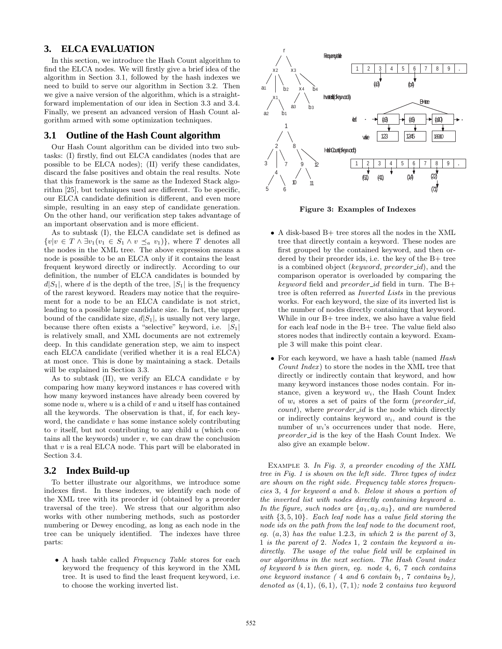# **3. ELCA EVALUATION**

In this section, we introduce the Hash Count algorithm to find the ELCA nodes. We will firstly give a brief idea of the algorithm in Section 3.1, followed by the hash indexes we need to build to serve our algorithm in Section 3.2. Then we give a naive version of the algorithm, which is a straightforward implementation of our idea in Section 3.3 and 3.4. Finally, we present an advanced version of Hash Count algorithm armed with some optimization techniques.

## **3.1 Outline of the Hash Count algorithm**

Our Hash Count algorithm can be divided into two subtasks: (I) firstly, find out ELCA candidates (nodes that are possible to be ELCA nodes); (II) verify these candidates, discard the false positives and obtain the real results. Note that this framework is the same as the Indexed Stack algorithm [25], but techniques used are different. To be specific, our ELCA candidate definition is different, and even more simple, resulting in an easy step of candidate generation. On the other hand, our verification step takes advantage of an important observation and is more efficient.

As to subtask (I), the ELCA candidate set is defined as  ${v|v \in T \land \exists v_1(v_1 \in S_1 \land v \preceq_a v_1)},$  where T denotes all the nodes in the XML tree. The above expression means a node is possible to be an ELCA only if it contains the least frequent keyword directly or indirectly. According to our definition, the number of ELCA candidates is bounded by  $d|S_1|$ , where d is the depth of the tree,  $|S_1|$  is the frequency of the rarest keyword. Readers may notice that the requirement for a node to be an ELCA candidate is not strict, leading to a possible large candidate size. In fact, the upper bound of the candidate size,  $d|S_1|$ , is usually not very large, because there often exists a "selective" keyword, i.e.  $|S_1|$ is relatively small, and XML documents are not extremely deep. In this candidate generation step, we aim to inspect each ELCA candidate (verified whether it is a real ELCA) at most once. This is done by maintaining a stack. Details will be explained in Section 3.3.

As to subtask  $(II)$ , we verify an ELCA candidate v by comparing how many keyword instances  $v$  has covered with how many keyword instances have already been covered by some node  $u$ , where  $u$  is a child of  $v$  and  $u$  itself has contained all the keywords. The observation is that, if, for each keyword, the candidate  $v$  has some instance solely contributing to  $v$  itself, but not contributing to any child  $u$  (which contains all the keywords) under  $v$ , we can draw the conclusion that  $v$  is a real ELCA node. This part will be elaborated in Section 3.4.

## **3.2 Index Build-up**

To better illustrate our algorithms, we introduce some indexes first. In these indexes, we identify each node of the XML tree with its preorder id (obtained by a preorder traversal of the tree). We stress that our algorithm also works with other numbering methods, such as postorder numbering or Dewey encoding, as long as each node in the tree can be uniquely identified. The indexes have three parts:

• A hash table called *Frequency Table* stores for each keyword the frequency of this keyword in the XML tree. It is used to find the least frequent keyword, i.e. to choose the working inverted list.



Figure 3: Examples of Indexes

- A disk-based B+ tree stores all the nodes in the XML tree that directly contain a keyword. These nodes are first grouped by the contained keyword, and then ordered by their preorder ids, i.e. the key of the B+ tree is a combined object (keyword, preorder  $_id$ ), and the comparison operator is overloaded by comparing the keyword field and preorder id field in turn. The  $B+$ tree is often referred as *Inverted Lists* in the previous works. For each keyword, the size of its inverted list is the number of nodes directly containing that keyword. While in our B+ tree index, we also have a value field for each leaf node in the B+ tree. The value field also stores nodes that indirectly contain a keyword. Example 3 will make this point clear.
- For each keyword, we have a hash table (named *Hash Count Index* ) to store the nodes in the XML tree that directly or indirectly contain that keyword, and how many keyword instances those nodes contain. For instance, given a keyword  $w_i$ , the Hash Count Index of  $w_i$  stores a set of pairs of the form (preorder\_id, count), where *preorder\_id* is the node which directly or indirectly contains keyword  $w_i$ , and *count* is the number of  $w_i$ 's occurrences under that node. Here, preorder id is the key of the Hash Count Index. We also give an example below.

Example 3. *In Fig. 3, a preorder encoding of the XML tree in Fig. 1 is shown on the left side. Three types of index are shown on the right side. Frequency table stores frequencies* 3*,* 4 *for keyword* a *and* b*. Below it shows a portion of the inverted list with nodes directly containing keyword* a*. In the figure, such nodes are* {a1, a2, a3}*, and are numbered with* {3, 5, 10}*. Each leaf node has a value field storing the node ids on the path from the leaf node to the document root, eg.* (a, 3) *has the value* 1.2.3*, in which* 2 *is the parent of* 3*,* 1 *is the parent of* 2*. Nodes* 1*,* 2 *contain the keyword* a *indirectly. The usage of the value field will be explained in our algorithms in the next section. The Hash Count index of keyword* b *is then given, eg. node* 4*,* 6*,* 7 *each contains one keyword instance* (4 *and* 6 *contain*  $b_1$ , 7 *contains*  $b_2$ *)*, *denoted as* (4, 1)*,* (6, 1)*,* (7, 1)*; node* 2 *contains two keyword*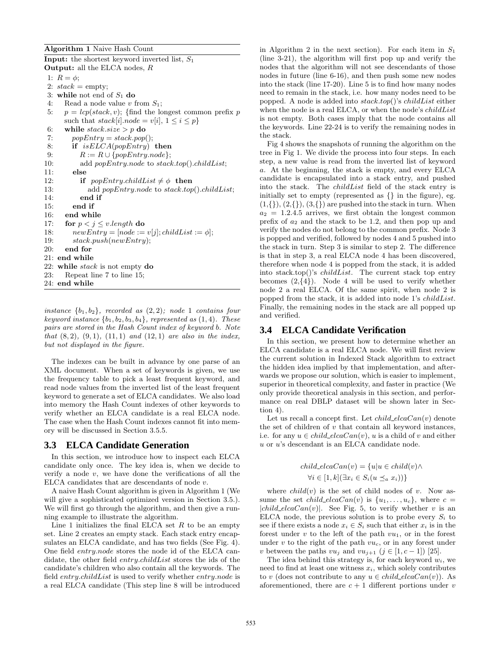Algorithm 1 Naive Hash Count

**Input:** the shortest keyword inverted list,  $S_1$ Output: all the ELCA nodes, R

1:  $R = \phi$ ;

2:  $stack = empty;$ 

3: while not end of  $S_1$  do

4: Read a node value  $v$  from  $S_1$ ;

5:  $p = lcp(state, v)$ ; {find the longest common prefix p such that  $stack[i].node = v[i], 1 \leq i \leq p$ 

6: while  $stack.size > p$  do

7:  $popEntry = stack.pop();$ 

8: if isELCA(popEntry) then

9:  $R := R \cup \{popEntry.node\};\$ 

10: add popEntry.node to stack.top().childList; 11: else

12: if  $popEntry.childList \neq \phi$  then

13: add popEntry.node to stack.top().childList; 14: end if 15: end if 16: end while

17: for  $p < j \le v.length$  do

```
18: newEntry = [node := v[j]; childList := \phi];
```
19: stack.push(newEntry);

20: end for

21: end while

22: while  $stack$  is not empty do

23: Repeat line 7 to line 15;

24: end while

*instance*  ${b_1, b_2}$ *, recorded as*  $(2, 2)$ *; node* 1 *contains four keyword instance*  $\{b_1, b_2, b_3, b_4\}$ *, represented as*  $(1, 4)$ *. These pairs are stored in the Hash Count index of keyword* b*. Note that* (8, 2)*,* (9, 1)*,* (11, 1) *and* (12, 1) *are also in the index, but not displayed in the figure.*

The indexes can be built in advance by one parse of an XML document. When a set of keywords is given, we use the frequency table to pick a least frequent keyword, and read node values from the inverted list of the least frequent keyword to generate a set of ELCA candidates. We also load into memory the Hash Count indexes of other keywords to verify whether an ELCA candidate is a real ELCA node. The case when the Hash Count indexes cannot fit into memory will be discussed in Section 3.5.5.

# **3.3 ELCA Candidate Generation**

In this section, we introduce how to inspect each ELCA candidate only once. The key idea is, when we decide to verify a node  $v$ , we have done the verifications of all the ELCA candidates that are descendants of node  $v$ .

A naive Hash Count algorithm is given in Algorithm 1 (We will give a sophisticated optimized version in Section 3.5.). We will first go through the algorithm, and then give a running example to illustrate the algorithm.

Line 1 initializes the final ELCA set  $R$  to be an empty set. Line 2 creates an empty stack. Each stack entry encapsulates an ELCA candidate, and has two fields (See Fig. 4). One field entry.node stores the node id of the ELCA candidate, the other field *entry.childList* stores the ids of the candidate's children who also contain all the keywords. The field *entry.childList* is used to verify whether *entry.node* is a real ELCA candidate (This step line 8 will be introduced in Algorithm 2 in the next section). For each item in  $S_1$ (line 3-21), the algorithm will first pop up and verify the nodes that the algorithm will not see descendants of those nodes in future (line 6-16), and then push some new nodes into the stack (line 17-20). Line 5 is to find how many nodes need to remain in the stack, i.e. how many nodes need to be popped. A node is added into  $stack.top()$ 's *childList* either when the node is a real ELCA, or when the node's *childList* is not empty. Both cases imply that the node contains all the keywords. Line 22-24 is to verify the remaining nodes in the stack.

Fig 4 shows the snapshots of running the algorithm on the tree in Fig 1. We divide the process into four steps. In each step, a new value is read from the inverted list of keyword a. At the beginning, the stack is empty, and every ELCA candidate is encapsulated into a stack entry, and pushed into the stack. The childList field of the stack entry is initially set to empty (represented as  $\{\}\$ in the figure), eg.  $(1,\{\})$ ,  $(2,\{\})$ ,  $(3,\{\})$  are pushed into the stack in turn. When  $a_2 = 1.2.4.5$  arrives, we first obtain the longest common prefix of  $a_2$  and the stack to be 1.2, and then pop up and verify the nodes do not belong to the common prefix. Node 3 is popped and verified, followed by nodes 4 and 5 pushed into the stack in turn. Step 3 is similar to step 2. The difference is that in step 3, a real ELCA node 4 has been discovered, therefore when node 4 is popped from the stack, it is added into stack.top()'s  $childList$ . The current stack top entry becomes  $(2,\{4\})$ . Node 4 will be used to verify whether node 2 a real ELCA. Of the same spirit, when node 2 is popped from the stack, it is added into node 1's childList. Finally, the remaining nodes in the stack are all popped up and verified.

# **3.4 ELCA Candidate Verification**

In this section, we present how to determine whether an ELCA candidate is a real ELCA node. We will first review the current solution in Indexed Stack algorithm to extract the hidden idea implied by that implementation, and afterwards we propose our solution, which is easier to implement, superior in theoretical complexity, and faster in practice (We only provide theoretical analysis in this section, and performance on real DBLP dataset will be shown later in Section 4).

Let us recall a concept first. Let  $child\_elcaCan(v)$  denote the set of children of  $v$  that contain all keyword instances, i.e. for any  $u \in child\_elcaCan(v)$ , u is a child of v and either u or u's descendant is an ELCA candidate node.

$$
child\_elcaCan(v) = \{u|u \in child(v) \land
$$
  

$$
\forall i \in [1, k](\exists x_i \in S_i(u \leq_a x_i))\}
$$

where  $child(v)$  is the set of child nodes of v. Now assume the set *child\_elcaCan(v)* is  $\{u_1, \ldots, u_c\}$ , where  $c =$  $|child\_elecaCan(v)|$ . See Fig. 5, to verify whether v is an ELCA node, the previous solution is to probe every  $S_i$  to see if there exists a node  $x_i \in S_i$  such that either  $x_i$  is in the forest under v to the left of the path  $vu_1$ , or in the forest under v to the right of the path  $vu_c$ , or in any forest under v between the paths  $vu_i$  and  $vu_{i+1}$   $(j \in [1, c-1])$  [25].

The idea behind this strategy is, for each keyword  $w_i$ , we need to find at least one witness  $x_i$ , which solely contributes to v (does not contribute to any  $u \in child\_elcaCan(v)$ ). As aforementioned, there are  $c + 1$  different portions under v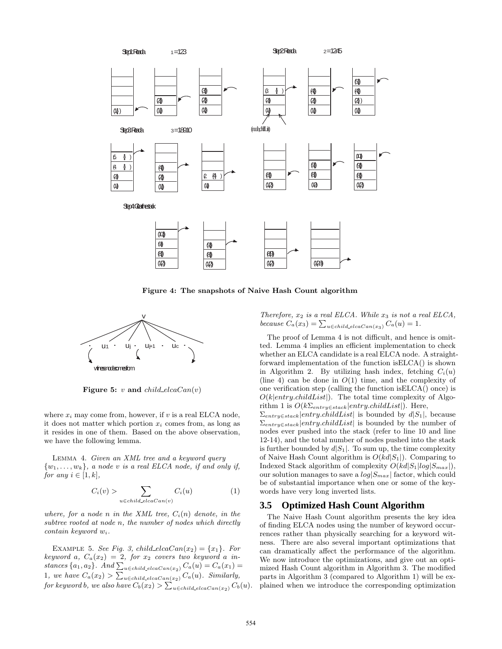$2,\{\}$  $1,\{\}$  $(3, {\{\})$  $(2, \{\})$  $(1, \{\})$  $5,\{\}$  $4,\{\}$  $(2,\{\})$  $(1, \{\})$  $[5, {\{\}$  $(4, {}$  $(2, \{\})$  $(1, \{\})$  $10,\{\}$  $9,\{\}\)$  $8,\{\}$  $(1,\{2\})$  $(4, {}_{3})$  $(2, \{\})$  $(1, \{\})$  $(2, \{4\})$  $(1, \{\})$  $(8, \{\})$  $(1,\{2\})$  $(10, {})$  $(9, {})$  $(8, \{\})$  $(1,\{2\})$  $(9, {}_{\!\{}\})$  $( 8, \{\})$  $(1,\{2\})$  $(8, 9)$  $(1,\{2\})$   $(1,\{2,8\})$ Step1: Read a<sub>1</sub>=1.2.3 Step 2: Read a<sub>2</sub>=1.2.4.5 Step 3: Read a<sub>3</sub>=1.8.9.10 Step 4: Clear the stack  $9,\{\}\)$  $(8, \{\})$  $1, {2}$  $4, {\}$  $(2, \{\})$  $(1, \{\})$  $(3, {\})$  $(2, \{\})$  $(1, \{\})$   $(1, \{\})$   $(1, \{\})$ (node, childList)

Figure 4: The snapshots of Naive Hash Count algorithm



Figure 5: v and  $child\_elecaCan(v)$ 

where  $x_i$  may come from, however, if  $v$  is a real ELCA node, it does not matter which portion  $x_i$  comes from, as long as it resides in one of them. Based on the above observation, we have the following lemma.

Lemma 4. *Given an XML tree and a keyword query*  $\{w_1, \ldots, w_k\}$ , a node v is a real ELCA node, if and only if, *for any*  $i \in [1, k]$ *,* 

$$
C_i(v) > \sum_{u \in child\_eleaCan(v)} C_i(u)
$$
 (1)

*where, for a node n in the XML tree,*  $C_i(n)$  *denote, in the subtree rooted at node* n*, the number of nodes which directly contain keyword* wi*.*

EXAMPLE 5. *See Fig. 3, child\_elcaCan(x<sub>2</sub>)* =  $\{x_1\}$ *. For*  $keyword \ a, \ C_a(x_2) = 2, \ for \ x_2 \ covers \ two \ keyword \ a \ in \mathit{stances}\{a_1, a_2\}$ .  $\mathit{And}\sum_{u\in\mathit{child\_elecaCan}(x_2)} C_a(u) = C_a(x_1) =$ 1, we have  $C_a(x_2) > \sum_{u \in child\_elecaCan(x_2)} C_a(u)$ *. Similarly,*  ${\it for~ keyword~b,~we~also~have~} C_b(x_2) > \sum_{u\in child\_elcaCan(x_2)} C_b(u).$ 

*Therefore,* x<sup>2</sup> *is a real ELCA. While* x<sup>3</sup> *is not a real ELCA,* because  $C_a(x_3) = \sum_{u \in child\_elecaCan(x_3)} C_a(u) = 1.$ 

The proof of Lemma 4 is not difficult, and hence is omitted. Lemma 4 implies an efficient implementation to check whether an ELCA candidate is a real ELCA node. A straightforward implementation of the function isELCA() is shown in Algorithm 2. By utilizing hash index, fetching  $C_i(u)$ (line 4) can be done in  $O(1)$  time, and the complexity of one verification step (calling the function isELCA() once) is  $O(k|entry.childList|)$ . The total time complexity of Algorithm 1 is  $O(k\Sigma_{entry\in stack}|entry.childList|)$ . Here,  $\Sigma_{entry \in stack}$ |entry.childList| is bounded by d|S<sub>1</sub>|, because  $\Sigma_{entry \in stack}|entry.childList|$  is bounded by the number of nodes ever pushed into the stack (refer to line 10 and line 12-14), and the total number of nodes pushed into the stack is further bounded by  $d|S_1|$ . To sum up, the time complexity of Naive Hash Count algorithm is  $O(kd|S_1|)$ . Comparing to Indexed Stack algorithm of complexity  $O(kd|S_1|log|S_{max}|)$ , our solution manages to save a  $log|S_{max}|$  factor, which could be of substantial importance when one or some of the keywords have very long inverted lists.

## **3.5 Optimized Hash Count Algorithm**

The Naive Hash Count algorithm presents the key idea of finding ELCA nodes using the number of keyword occurrences rather than physically searching for a keyword witness. There are also several important optimizations that can dramatically affect the performance of the algorithm. We now introduce the optimizations, and give out an optimized Hash Count algorithm in Algorithm 3. The modified parts in Algorithm 3 (compared to Algorithm 1) will be explained when we introduce the corresponding optimization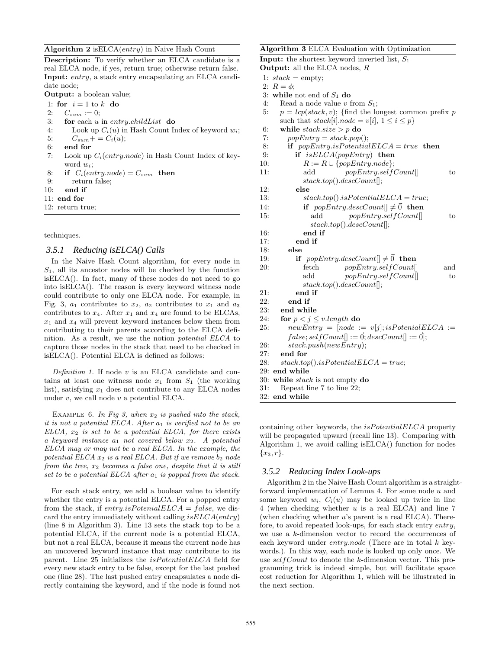#### Algorithm 2 isELCA(entry) in Naive Hash Count

Description: To verify whether an ELCA candidate is a real ELCA node, if yes, return true; otherwise return false. Input: entry, a stack entry encapsulating an ELCA candidate node;

Output: a boolean value;

1: for  $i = 1$  to k do

- 2:  $C_{sum} := 0;$
- 3: for each  $u$  in entry.childList do
- 4: Look up  $C_i(u)$  in Hash Count Index of keyword  $w_i$ ; 5:  $C_{sum} + C_i(u);$
- 6: end for
- 7: Look up  $C_i(entry node)$  in Hash Count Index of keyword  $w_i$ ;
- 8: if  $C_i(entry node) = C_{sum}$  then
- 9: return false;
- 10: end if
- 11: end for
- 12: return true;

techniques.

#### *3.5.1 Reducing isELCA() Calls*

In the Naive Hash Count algorithm, for every node in  $S_1$ , all its ancestor nodes will be checked by the function isELCA(). In fact, many of these nodes do not need to go into isELCA(). The reason is every keyword witness node could contribute to only one ELCA node. For example, in Fig. 3,  $a_1$  contributes to  $x_2$ ,  $a_2$  contributes to  $x_1$  and  $a_3$ contributes to  $x_4$ . After  $x_1$  and  $x_4$  are found to be ELCAs,  $x_1$  and  $x_4$  will prevent keyword instances below them from contributing to their parents according to the ELCA definition. As a result, we use the notion *potential ELCA* to capture those nodes in the stack that need to be checked in isELCA(). Potential ELCA is defined as follows:

*Definition 1.* If node v is an ELCA candidate and contains at least one witness node  $x_1$  from  $S_1$  (the working list), satisfying  $x_1$  does not contribute to any ELCA nodes under  $v$ , we call node  $v$  a potential ELCA.

EXAMPLE 6. In Fig 3, when  $x_2$  is pushed into the stack, *it is not a potential ELCA. After*  $a_1$  *is verified not to be an ELCA,* x<sup>2</sup> *is set to be a potential ELCA, for there exists a keyword instance* a<sup>1</sup> *not covered below* x2*. A potential ELCA may or may not be a real ELCA. In the example, the potential ELCA*  $x_2$  *is a real ELCA. But if we remove*  $b_2$  *node from the tree,*  $x_2$  *becomes a false one, despite that it is still set to be a potential ELCA after*  $a_1$  *is popped from the stack.* 

For each stack entry, we add a boolean value to identify whether the entry is a potential ELCA. For a popped entry from the stack, if entry.is Potenial  $ELCA = false$ , we discard the entry immediately without calling  $isELCA(entry)$ (line 8 in Algorithm 3). Line 13 sets the stack top to be a potential ELCA, if the current node is a potential ELCA, but not a real ELCA, because it means the current node has an uncovered keyword instance that may contribute to its parent. Line 25 initializes the *isPotentialELCA* field for every new stack entry to be false, except for the last pushed one (line 28). The last pushed entry encapsulates a node directly containing the keyword, and if the node is found not

#### Algorithm 3 ELCA Evaluation with Optimization **Input:** the shortest keyword inverted list,  $S_1$ Output: all the ELCA nodes, R 1:  $stack = empty;$ 2:  $R = \phi$ ; 3: while not end of  $S_1$  do 4: Read a node value  $v$  from  $S_1$ ; 5:  $p = lcp(state, v)$ ; {find the longest common prefix p such that  $stack[i].node = v[i], 1 \leq i \leq p$ 6: while  $stack.size > p$  do 7:  $popEntry = stack.pop();$ 8: if  $popEntry.isPotentialELCA = true$  then 9: if  $isELCA(popEntry)$  then 10:  $R := R \cup \{popEntry.node\};$ 11: add  $popEntry.setfCount[]$  to stack.top().descCount[]; 12: else 13:  $stack.tock.top().isPotentialELCA = true;$ 14: if  $popEntry.descCount[] \neq \vec{0}$  then 15: add  $popEntry\_selfCount[]$  to stack.top().descCount[]; 16: end if 17: end if 18: else 19: if  $popEntry.descCount[] \neq \vec{0}$  then 20: fetch  $popEntry.setfCount$  and add  $popEntry.setfCount$  to stack.top().descCount[]; 21: end if 22: end if 23: end while 24: for  $p < j \le v.length$  do 25: newEntry =  $[node := v[j]; isPotential ELCA :=$  $false; selfCount[| := \vec{0}; descCount[| := \vec{0}];$ 26: stack.push(newEntry); 27: end for 28:  $stack-top().isPotentialELCA = true;$ 29: end while 30: while stack is not empty do 31: Repeat line 7 to line 22;

32: end while

containing other keywords, the isPotentialELCA property will be propagated upward (recall line 13). Comparing with Algorithm 1, we avoid calling isELCA() function for nodes  ${x_3, r}.$ 

#### *3.5.2 Reducing Index Look-ups*

Algorithm 2 in the Naive Hash Count algorithm is a straightforward implementation of Lemma 4. For some node u and some keyword  $w_i$ ,  $C_i(u)$  may be looked up twice in line 4 (when checking whether u is a real ELCA) and line 7 (when checking whether  $u$ 's parent is a real ELCA). Therefore, to avoid repeated look-ups, for each stack entry entry, we use a k-dimension vector to record the occurrences of each keyword under entry.node (There are in total  $k$  keywords.). In this way, each node is looked up only once. We use selfCount to denote the k-dimension vector. This programming trick is indeed simple, but will facilitate space cost reduction for Algorithm 1, which will be illustrated in the next section.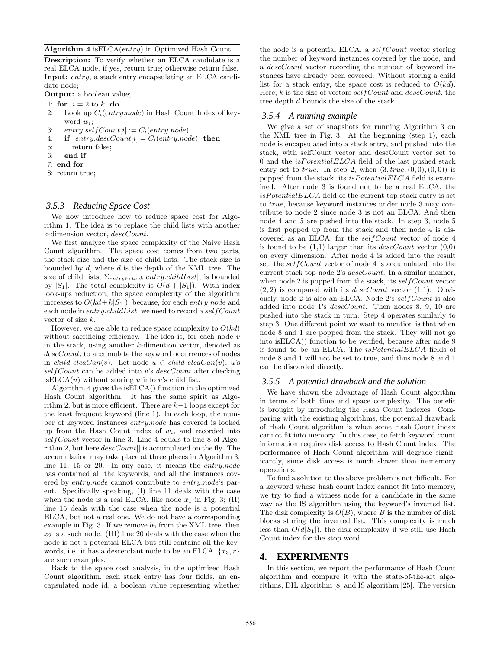Algorithm 4 isELCA(entry) in Optimized Hash Count

Description: To verify whether an ELCA candidate is a real ELCA node, if yes, return true; otherwise return false. Input: entry, a stack entry encapsulating an ELCA candidate node;

Output: a boolean value;

- 1: for  $i = 2$  to k do
- 2: Look up  $C_i(entry node)$  in Hash Count Index of keyword  $w_i$ ;
- 3: entry.self $Count[i] := C_i(entry.node);$
- 4: if  $entry.degcCount[i] = C_i(entry.node)$  then
- 5: return false;
- $6<sup>°</sup>$  end if
- 7: end for
- 8: return true;

# *3.5.3 Reducing Space Cost*

We now introduce how to reduce space cost for Algorithm 1. The idea is to replace the child lists with another k-dimension vector, descCount.

We first analyze the space complexity of the Naive Hash Count algorithm. The space cost comes from two parts, the stack size and the size of child lists. The stack size is bounded by d, where d is the depth of the XML tree. The size of child lists,  $\Sigma_{entry\in stack}|entry.childList|$ , is bounded by  $|S_1|$ . The total complexity is  $O(d+|S_1|)$ . With index look-ups reduction, the space complexity of the algorithm increases to  $O(kd+k|S_1|)$ , because, for each entry.node and each node in  $entry$ .childList, we need to record a self Count vector of size k.

However, we are able to reduce space complexity to  $O(kd)$ without sacrificing efficiency. The idea is, for each node  $v$ in the stack, using another k-dimention vector, denoted as descCount, to accumulate the keyword occurrences of nodes in child\_elcaCan(v). Let node  $u \in child\_elecaCan(v), u's$ self Count can be added into v's descCount after checking is  $ELCA(u)$  without storing u into v's child list.

Algorithm 4 gives the isELCA() function in the optimized Hash Count algorithm. It has the same spirit as Algorithm 2, but is more efficient. There are  $k-1$  loops except for the least frequent keyword (line 1). In each loop, the number of keyword instances entry.node has covered is looked up from the Hash Count index of  $w_i$ , and recorded into self Count vector in line 3. Line 4 equals to line 8 of Algorithm 2, but here  $descCount$  is accumulated on the fly. The accumulation may take place at three places in Algorithm 3, line 11, 15 or 20. In any case, it means the *entry.node* has contained all the keywords, and all the instances covered by entry.node cannot contribute to entry.node's parent. Specifically speaking, (I) line 11 deals with the case when the node is a real ELCA, like node  $x_1$  in Fig. 3; (II) line 15 deals with the case when the node is a potential ELCA, but not a real one. We do not have a corresponding example in Fig. 3. If we remove  $b_2$  from the XML tree, then  $x_2$  is a such node. (III) line 20 deals with the case when the node is not a potential ELCA but still contains all the keywords, i.e. it has a descendant node to be an ELCA.  $\{x_3, r\}$ are such examples.

Back to the space cost analysis, in the optimized Hash Count algorithm, each stack entry has four fields, an encapsulated node id, a boolean value representing whether

the node is a potential ELCA, a selfCount vector storing the number of keyword instances covered by the node, and a descCount vector recording the number of keyword instances have already been covered. Without storing a child list for a stack entry, the space cost is reduced to  $O(kd)$ . Here,  $k$  is the size of vectors self Count and descCount, the tree depth d bounds the size of the stack.

#### *3.5.4 A running example*

We give a set of snapshots for running Algorithm 3 on the XML tree in Fig. 3. At the beginning (step 1), each node is encapsulated into a stack entry, and pushed into the stack, with selfCount vector and descCount vector set to  $0$  and the  $isPotentialELCA$  field of the last pushed stack entry set to true. In step 2, when  $(3, true, (0, 0), (0, 0))$  is popped from the stack, its  $isPotentialELCA$  field is examined. After node 3 is found not to be a real ELCA, the  $isPotentialELCA$  field of the current top stack entry is set to true, because keyword instances under node 3 may contribute to node 2 since node 3 is not an ELCA. And then node 4 and 5 are pushed into the stack. In step 3, node 5 is first popped up from the stack and then node 4 is discovered as an ELCA, for the selfCount vector of node 4 is found to be  $(1,1)$  larger than its *descCount* vector  $(0,0)$ on every dimension. After node 4 is added into the result set, the selfCount vector of node 4 is accumulated into the current stack top node 2's descCount. In a similar manner, when node 2 is popped from the stack, its self Count vector  $(2, 2)$  is compared with its *descCount* vector  $(1, 1)$ . Obviously, node 2 is also an ELCA. Node 2's selfCount is also added into node 1's descCount. Then nodes 8, 9, 10 are pushed into the stack in turn. Step 4 operates similarly to step 3. One different point we want to mention is that when node 8 and 1 are popped from the stack. They will not go into isELCA() function to be verified, because after node 9 is found to be an ELCA. The *isPotentialELCA* fields of node 8 and 1 will not be set to true, and thus node 8 and 1 can be discarded directly.

#### *3.5.5 A potential drawback and the solution*

We have shown the advantage of Hash Count algorithm in terms of both time and space complexity. The benefit is brought by introducing the Hash Count indexes. Comparing with the existing algorithms, the potential drawback of Hash Count algorithm is when some Hash Count index cannot fit into memory. In this case, to fetch keyword count information requires disk access to Hash Count index. The performance of Hash Count algorithm will degrade significantly, since disk access is much slower than in-memory operations.

To find a solution to the above problem is not difficult. For a keyword whose hash count index cannot fit into memory, we try to find a witness node for a candidate in the same way as the IS algorithm using the keyword's inverted list. The disk complexity is  $O(B)$ , where B is the number of disk blocks storing the inverted list. This complexity is much less than  $O(d|S_1|)$ , the disk complexity if we still use Hash Count index for the stop word.

## **4. EXPERIMENTS**

In this section, we report the performance of Hash Count algorithm and compare it with the state-of-the-art algorithms, DIL algorithm [8] and IS algorithm [25]. The version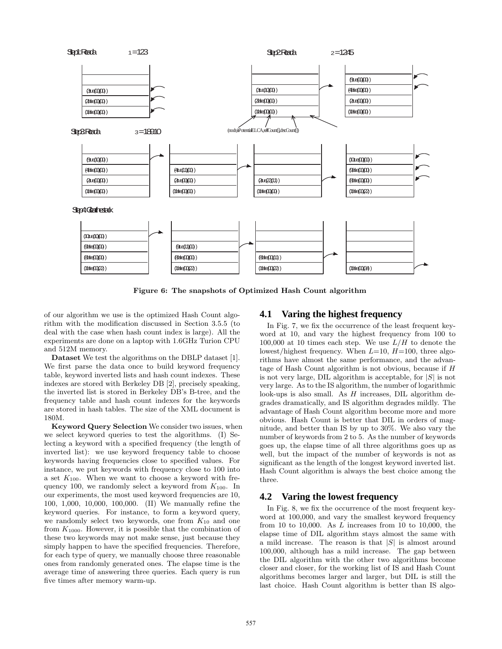

Figure 6: The snapshots of Optimized Hash Count algorithm

of our algorithm we use is the optimized Hash Count algorithm with the modification discussed in Section 3.5.5 (to deal with the case when hash count index is large). All the experiments are done on a laptop with 1.6GHz Turion CPU and 512M memory.

Dataset We test the algorithms on the DBLP dataset [1]. We first parse the data once to build keyword frequency table, keyword inverted lists and hash count indexes. These indexes are stored with Berkeley DB [2], precisely speaking, the inverted list is stored in Berkeley DB's B-tree, and the frequency table and hash count indexes for the keywords are stored in hash tables. The size of the XML document is 180M.

Keyword Query Selection We consider two issues, when we select keyword queries to test the algorithms. (I) Selecting a keyword with a specified frequency (the length of inverted list): we use keyword frequency table to choose keywords having frequencies close to specified values. For instance, we put keywords with frequency close to 100 into a set  $K_{100}$ . When we want to choose a keyword with frequency 100, we randomly select a keyword from  $K_{100}$ . In our experiments, the most used keyword frequencies are 10, 100, 1,000, 10,000, 100,000. (II) We manually refine the keyword queries. For instance, to form a keyword query, we randomly select two keywords, one from  $K_{10}$  and one from  $K_{1000}$ . However, it is possible that the combination of these two keywords may not make sense, just because they simply happen to have the specified frequencies. Therefore, for each type of query, we manually choose three reasonable ones from randomly generated ones. The elapse time is the average time of answering three queries. Each query is run five times after memory warm-up.

## **4.1 Varing the highest frequency**

In Fig. 7, we fix the occurrence of the least frequent keyword at 10, and vary the highest frequency from 100 to 100,000 at 10 times each step. We use  $L/H$  to denote the lowest/highest frequency. When  $L=10$ ,  $H=100$ , three algorithms have almost the same performance, and the advantage of Hash Count algorithm is not obvious, because if H is not very large, DIL algorithm is acceptable, for  $|S|$  is not very large. As to the IS algorithm, the number of logarithmic look-ups is also small. As  $H$  increases, DIL algorithm degrades dramatically, and IS algorithm degrades mildly. The advantage of Hash Count algorithm become more and more obvious. Hash Count is better that DIL in orders of magnitude, and better than IS by up to 30%. We also vary the number of keywords from 2 to 5. As the number of keywords goes up, the elapse time of all three algorithms goes up as well, but the impact of the number of keywords is not as significant as the length of the longest keyword inverted list. Hash Count algorithm is always the best choice among the three.

#### **4.2 Varing the lowest frequency**

In Fig. 8, we fix the occurrence of the most frequent keyword at 100,000, and vary the smallest keyword frequency from 10 to 10,000. As  $L$  increases from 10 to 10,000, the elapse time of DIL algorithm stays almost the same with a mild increase. The reason is that  $|S|$  is almost around 100,000, although has a mild increase. The gap between the DIL algorithm with the other two algorithms become closer and closer, for the working list of IS and Hash Count algorithms becomes larger and larger, but DIL is still the last choice. Hash Count algorithm is better than IS algo-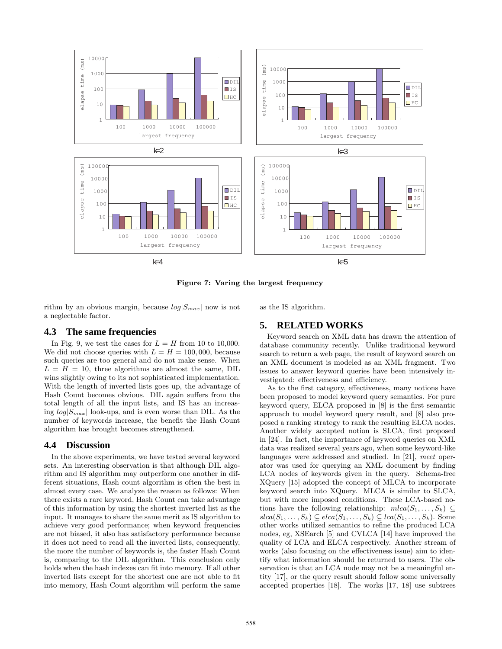

Figure 7: Varing the largest frequency

rithm by an obvious margin, because  $log|S_{max}|$  now is not a neglectable factor.

as the IS algorithm.

**5. RELATED WORKS**

## **4.3 The same frequencies**

In Fig. 9, we test the cases for  $L = H$  from 10 to 10,000. We did not choose queries with  $L = H = 100,000$ , because such queries are too general and do not make sense. When  $L = H = 10$ , three algorithms are almost the same, DIL wins slightly owing to its not sophisticated implementation. With the length of inverted lists goes up, the advantage of Hash Count becomes obvious. DIL again suffers from the total length of all the input lists, and IS has an increasing  $log|S_{max}|$  look-ups, and is even worse than DIL. As the number of keywords increase, the benefit the Hash Count algorithm has brought becomes strengthened.

## **4.4 Discussion**

In the above experiments, we have tested several keyword sets. An interesting observation is that although DIL algorithm and IS algorithm may outperform one another in different situations, Hash count algorithm is often the best in almost every case. We analyze the reason as follows: When there exists a rare keyword, Hash Count can take advantage of this information by using the shortest inverted list as the input. It manages to share the same merit as IS algorithm to achieve very good performance; when keyword frequencies are not biased, it also has satisfactory performance because it does not need to read all the inverted lists, consequently, the more the number of keywords is, the faster Hash Count is, comparing to the DIL algorithm. This conclusion only holds when the hash indexes can fit into memory. If all other inverted lists except for the shortest one are not able to fit into memory, Hash Count algorithm will perform the same

Keyword search on XML data has drawn the attention of database community recently. Unlike traditional keyword search to return a web page, the result of keyword search on an XML document is modeled as an XML fragment. Two issues to answer keyword queries have been intensively investigated: effectiveness and efficiency.

As to the first category, effectiveness, many notions have been proposed to model keyword query semantics. For pure keyword query, ELCA proposed in [8] is the first semantic approach to model keyword query result, and [8] also proposed a ranking strategy to rank the resulting ELCA nodes. Another widely accepted notion is SLCA, first proposed in [24]. In fact, the importance of keyword queries on XML data was realized several years ago, when some keyword-like languages were addressed and studied. In [21], *meet* operator was used for querying an XML document by finding LCA nodes of keywords given in the query. Schema-free XQuery [15] adopted the concept of MLCA to incorporate keyword search into XQuery. MLCA is similar to SLCA, but with more imposed conditions. These LCA-based notions have the following relationship:  $mlca(S_1, \ldots, S_k) \subseteq$  $slca(S_1, \ldots, S_k) \subseteq elca(S_1, \ldots, S_k) \subseteq lca(S_1, \ldots, S_k)$ . Some other works utilized semantics to refine the produced LCA nodes, eg, XSEarch [5] and CVLCA [14] have improved the quality of LCA and ELCA respectively. Another stream of works (also focusing on the effectiveness issue) aim to identify what information should be returned to users. The observation is that an LCA node may not be a meaningful entity [17], or the query result should follow some universally accepted properties [18]. The works [17, 18] use subtrees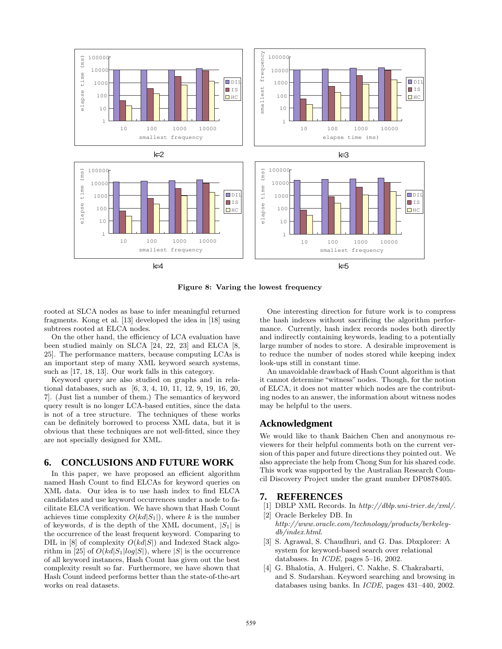

Figure 8: Varing the lowest frequency

rooted at SLCA nodes as base to infer meaningful returned fragments. Kong et al. [13] developed the idea in [18] using subtrees rooted at ELCA nodes.

On the other hand, the efficiency of LCA evaluation have been studied mainly on SLCA [24, 22, 23] and ELCA [8, 25]. The performance matters, because computing LCAs is an important step of many XML keyword search systems, such as [17, 18, 13]. Our work falls in this category.

Keyword query are also studied on graphs and in relational databases, such as [6, 3, 4, 10, 11, 12, 9, 19, 16, 20, 7]. (Just list a number of them.) The semantics of keyword query result is no longer LCA-based entities, since the data is not of a tree structure. The techniques of these works can be definitely borrowed to process XML data, but it is obvious that these techniques are not well-fitted, since they are not specially designed for XML.

## **6. CONCLUSIONS AND FUTURE WORK**

In this paper, we have proposed an efficient algorithm named Hash Count to find ELCAs for keyword queries on XML data. Our idea is to use hash index to find ELCA candidates and use keyword occurrences under a node to facilitate ELCA verification. We have shown that Hash Count achieves time complexity  $O(kd|S_1|)$ , where k is the number of keywords, d is the depth of the XML document,  $|S_1|$  is the occurrence of the least frequent keyword. Comparing to DIL in [8] of complexity  $O(kd|S|)$  and Indexed Stack algorithm in [25] of  $O(kd|S_1|log|S|)$ , where |S| is the occurrence of all keyword instances, Hash Count has given out the best complexity result so far. Furthermore, we have shown that Hash Count indeed performs better than the state-of-the-art works on real datasets.

One interesting direction for future work is to compress the hash indexes without sacrificing the algorithm performance. Currently, hash index records nodes both directly and indirectly containing keywords, leading to a potentially large number of nodes to store. A desirable improvement is to reduce the number of nodes stored while keeping index look-ups still in constant time.

An unavoidable drawback of Hash Count algorithm is that it cannot determine "witness" nodes. Though, for the notion of ELCA, it does not matter which nodes are the contributing nodes to an answer, the information about witness nodes may be helpful to the users.

## **Acknowledgment**

We would like to thank Baichen Chen and anonymous reviewers for their helpful comments both on the current version of this paper and future directions they pointed out. We also appreciate the help from Chong Sun for his shared code. This work was supported by the Australian Research Council Discovery Project under the grant number DP0878405.

#### **7. REFERENCES**

- [1] DBLP XML Records. In *http://dblp.uni-trier.de/xml/*.
- [2] Oracle Berkeley DB. In *http://www.oracle.com/technology/products/berkeleydb/index.html*.
- [3] S. Agrawal, S. Chaudhuri, and G. Das. Dbxplorer: A system for keyword-based search over relational databases. In *ICDE*, pages 5–16, 2002.
- [4] G. Bhalotia, A. Hulgeri, C. Nakhe, S. Chakrabarti, and S. Sudarshan. Keyword searching and browsing in databases using banks. In *ICDE*, pages 431–440, 2002.